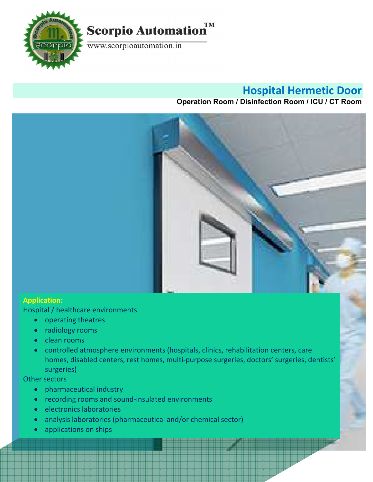

Scorpio Automation<sup>TM</sup>

www.scorpioautomation.in

### **Hospital Hermetic Door**

### **Operation Room / Disinfection Room / ICU / CT Room**



### **Application:**

Hospital / healthcare environments

- operating theatres
- radiology rooms
- clean rooms
- controlled atmosphere environments (hospitals, clinics, rehabilitation centers, care homes, disabled centers, rest homes, multi-purpose surgeries, doctors' surgeries, dentists' surgeries)

Other sectors

- pharmaceutical industry
- recording rooms and sound-insulated environments
- electronics laboratories

• applications with heavy wing

- analysis laboratories (pharmaceutical and/or chemical sector)
- applications on ships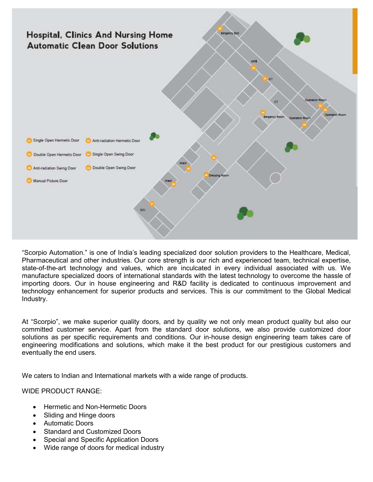

"Scorpio Automation." is one of India's leading specialized door solution providers to the Healthcare, Medical, Pharmaceutical and other industries. Our core strength is our rich and experienced team, technical expertise, state-of-the-art technology and values, which are inculcated in every individual associated with us. We manufacture specialized doors of international standards with the latest technology to overcome the hassle of importing doors. Our in house engineering and R&D facility is dedicated to continuous improvement and technology enhancement for superior products and services. This is our commitment to the Global Medical Industry.

At "Scorpio", we make superior quality doors, and by quality we not only mean product quality but also our committed customer service. Apart from the standard door solutions, we also provide customized door solutions as per specific requirements and conditions. Our in-house design engineering team takes care of engineering modifications and solutions, which make it the best product for our prestigious customers and eventually the end users.

We caters to Indian and International markets with a wide range of products.

WIDE PRODUCT RANGE:

- Hermetic and Non-Hermetic Doors
- Sliding and Hinge doors
- Automatic Doors
- Standard and Customized Doors
- Special and Specific Application Doors
- Wide range of doors for medical industry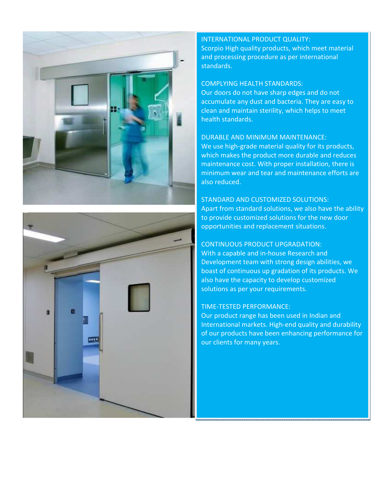



INTERNATIONAL PRODUCT QUALITY: Scorpio High quality products, which meet material and processing procedure as per international standards.

### COMPLYING HEALTH STANDARDS:

Our doors do not have sharp edges and do not accumulate any dust and bacteria. They are easy to clean and maintain sterility, which helps to meet health standards.

#### DURABLE AND MINIMUM MAINTENANCE:

We use high-grade material quality for its products, which makes the product more durable and reduces maintenance cost. With proper installation, there is minimum wear and tear and maintenance efforts are also reduced.

#### STANDARD AND CUSTOMIZED SOLUTIONS:

Apart from standard solutions, we also have the ability to provide customized solutions for the new door opportunities and replacement situations.

### CONTINUOUS PRODUCT UPGRADATION:

With a capable and in-house Research and Development team with strong design abilities, we boast of continuous up gradation of its products. We also have the capacity to develop customized solutions as per your requirements.

#### TIME-TESTED PERFORMANCE:

Our product range has been used in Indian and International markets. High-end quality and durability of our products have been enhancing performance for our clients for many years.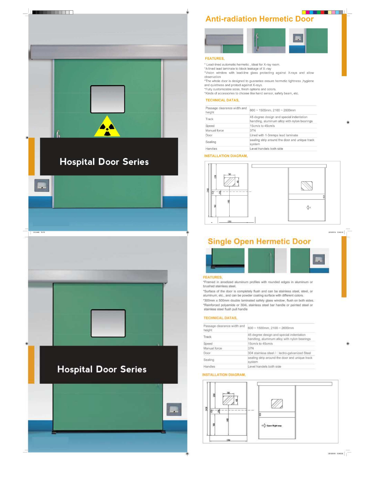

<u>EN EN DE BINA</u> **Anti-radiation Hermetic Door** 

#### **FEATURES,**

\* Lead-lined automatic hermetic, ideal for X-ray room.

\*A lined lead laminate to block leakage of X-ray \*Vision window with lead-line glass protecting against X-rays and allow

observation

\*The whole door is designed to guarantee ensure hermetic tightness , hygiene and quietness and protect against X-rays.

\*Fully customizable sizes, finish options and colors.<br>"Kinds of accessories to choose like hand sensor, safety beam, etc.

#### TECHNICAL DATAS,

| Passage clearance width and<br>height | $600 - 1500$ mm, 2100 ~ 2600mm                                                           |  |
|---------------------------------------|------------------------------------------------------------------------------------------|--|
| Track                                 | 45 degree design and special indentation<br>handling, aluminum alloy with nylon bearings |  |
| Speed                                 | 15cm/s to 45cm/s                                                                         |  |
| Manual force                          | 37N                                                                                      |  |
| Door                                  | Lined with 1-3mmpa lead laminate                                                         |  |
| Sealing                               | sealing strip around the door and unique track<br>system                                 |  |
| Handles                               | Level handels both side                                                                  |  |

#### **INSTALLATION DIAGRAM,**



### **Single Open Hermetic Door**



#### **FEATURES**

\*Framed in anodized aluminum profiles with rounded edges in aluminum or brushed stainless steel.

"Surface of the door is completely flush and can be stainless steel, steel, or aluminum, etc., and can be powder coating surface with different colors. \*300mm x 500mm double laminated safety glass window, flush on both sides.

"Reinforced polyamide or 304L stainless steel bar handle or painted steel or stainless steel flush pull handle

#### **TECHNICAL DATAS,**

| Passage clearance width and<br>height | 600 - 1500mm, 2100 - 2600mm<br>45 degree design and special indentation<br>handling, aluminum alloy with nylon bearings |  |  |
|---------------------------------------|-------------------------------------------------------------------------------------------------------------------------|--|--|
| Track                                 |                                                                                                                         |  |  |
| Speed                                 | 15cm/s to 45cm/s                                                                                                        |  |  |
| Manual force                          | 37N                                                                                                                     |  |  |
| Door                                  | 304 stainless steel / [lectro-galvanized Steel                                                                          |  |  |
| Sealing                               | sealing strip around the door and unique track<br>system                                                                |  |  |
| Handles                               | Level handels both side                                                                                                 |  |  |

#### **INSTALLATION DIAGRAM.**



живив також $\|$ 

015/9/18 13:40:32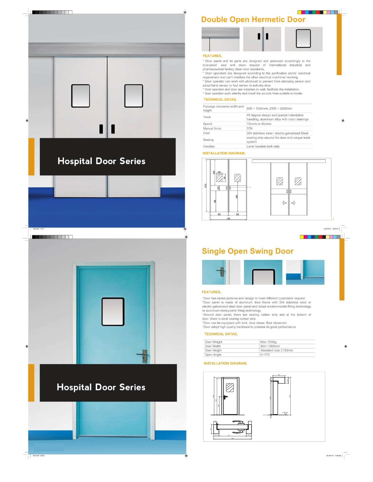

#### <u>Caster Chap</u> **Double Open Hermetic Door**

# Π

#### **FEATURES,**

\* Door panel and its parts are designed and produced accordingly to the Low pairs and is pass are useful and please accompany of the distributional industrial and pharmaceutical factory clean door standards.<br>The posteroids are designed according to the purification plants' electrical<br>requireme

\* Door operator can work with photocell to prevent from clamping person and adopt hand sensor or foot sensor to activate door.

\* Door operator and door are installed on wall, facilitate the installation.<br>\* door operator work silently and insult the sounds from outside to inside.

#### **TECHNICAL DATAS,**

| Passage clearance width and<br>height | $600 - 1500$ mm, 2100 ~ 2600mm<br>45 degree design and special indentation<br>handling, aluminum alloy with nylon bearings |  |  |
|---------------------------------------|----------------------------------------------------------------------------------------------------------------------------|--|--|
| Track                                 |                                                                                                                            |  |  |
| Speed                                 | 15cm/s to 45cm/s                                                                                                           |  |  |
| Manual force                          | 37N                                                                                                                        |  |  |
| Door                                  | 304 stainless steel / electro-galvanized Steel                                                                             |  |  |
| Sealing                               | sealing strip around the door and unique track<br>system                                                                   |  |  |
| Handles                               | evel handels both side                                                                                                     |  |  |

#### **INSTALLATION DIAGRAM,**



### **Single Open Swing Door**



#### **FEATURES**

\*Door has series patterns and design to meet different customers' request.<br>\*Door panel is made of aluminum door frame with 304 stainless steel or electro-galvanized steel door panel and adopt environmental filling technology or aluminum honeycomb filling technology.

\*Around door panel, there are sealing rubber strip and at the bottom of door there is sunk sealing rubber strip.

\*Door can be equipped with lock, door closer, floor closer,etc<br>\*Door adopt high quality hardware to promise its good performance

#### **TECHNICAL DATAS,**

| Door Weight | Max 150Kg            |
|-------------|----------------------|
| Door Width  | 800~1000mm           |
| Door Height | Standard size 2100mm |
| Open Angle  | $0 - 170$            |

#### **INSTALLATION DIAGRAM,**



2015/9/16 13:40:29  $|$   $|$ 

<u> Linda ka matsa sa ka</u>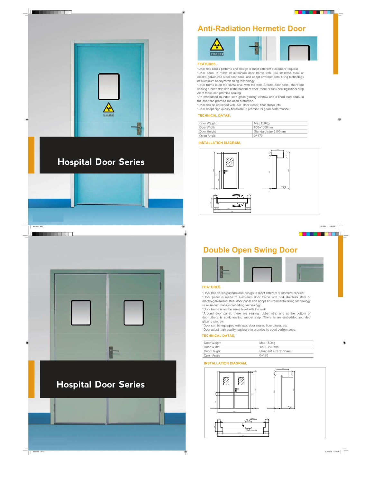

### **Hospital Door Series**





### **Hospital Door Series**



### **Anti-Radiation Hermetic Door**





#### **FEATURES,**

\*Door has series patterns and design to meet different customers' request \*Door panel is made of aluminum door frame with 304 stainless steel or electro-galvanized steel door panel and adopt environmental filling technology or aluminum honeycomb filling technology.<br>\*Door frame is on the same level with the wall. Around door panel, there are

sealing rubber strip and at the bottom of door , there is sunk sealing rubber strip. All of these can promise sealing.<br>
"An embedded rounded lead glass glazing window and a lined lead panel in<br>
"An embedded rounded lead glass glazing window and a lined lead panel in

the door can promise radiation protection.<br>"Door can be equipped with lock, door closer, floor closer, etc.

\*Door adopt high quality hardware to promise its good performance.

#### **TECHNICAL DATAS,**

| Door Weight | Max 150Kg            |  |
|-------------|----------------------|--|
| Door Width  | 800~1000mm           |  |
| Door Height | Standard size 2100mm |  |
| Open Angle  | $0 - 170$            |  |

#### **INSTALLATION DIAGRAM,**





### **Double Open Swing Door**



#### **FEATURES.**

\*Door has series patterns and design to meet different customers' request. \*Door panel is made of aluminum door frame with 304 stainless steel or electro-galvanized steel door panel and adopt environmental filling technology or aluminum honeycomb filling technology.

"Door frame is on the same level with the wall.<br>\*Around door panel, there are sealing rubber strip and at the bottom of door , there is sunk sealing rubber strip. There is an embedded rounded glazing window.

\*Door can be equipped with lock, door closer, floor closer, etc<br>\*Door adopt high quality hardware to promise its good performance.

#### **TECHNICAL DATAS,**

| Door Weight | Max 150Kg            |
|-------------|----------------------|
| Door Width  | 1200~200mm           |
| Door Height | Standard size 2100mm |
| Open Angle  | $0 - 170$            |

#### **INSTALLATION DIAGRAM,**

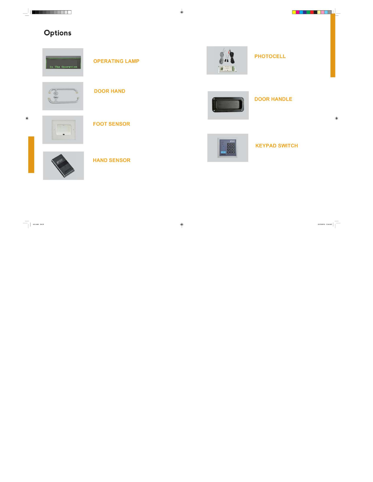$\overline{\phantom{a}}$  ) in the contract of  $\overline{\phantom{a}}$ 

### Options

| In The Operation | <b>OPERATING LAMP</b> | $\begin{bmatrix} \mathbf{a} & \mathbf{c} & \mathbf{b} \\ \mathbf{c} & \mathbf{c} & \mathbf{c} \end{bmatrix}$ | <b>PHOTOCELL</b>     |
|------------------|-----------------------|--------------------------------------------------------------------------------------------------------------|----------------------|
|                  | <b>DOOR HAND</b>      |                                                                                                              | <b>DOOR HANDLE</b>   |
| $\blacksquare$   | <b>FOOT SENSOR</b>    |                                                                                                              |                      |
|                  | <b>HAND SENSOR</b>    | <b>Ban</b>                                                                                                   | <b>KEYPAD SWITCH</b> |

 $\begin{tabular}{c} \hline \quad \quad & \quad \quad & \quad \quad \\ \hline \quad \quad & \quad \quad \\ \hline \quad \quad & \quad \quad \\ \hline \end{tabular}$ 

 $\circledast$ 

 $\spadesuit$ 

 $2015916 \quad 13.4043$ 

۰